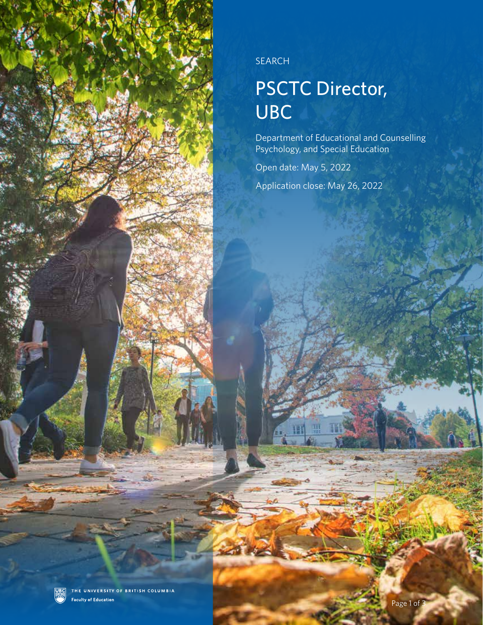

SEARCH

## PSCTC Director, UBC

Department of Educational and Counselling Psychology, and Special Education

Open date: May 5, 2022

Application close: May 26, 2022

THE UNIVERSITY OF BRITISH COLUMBIA **UBC Faculty of Education**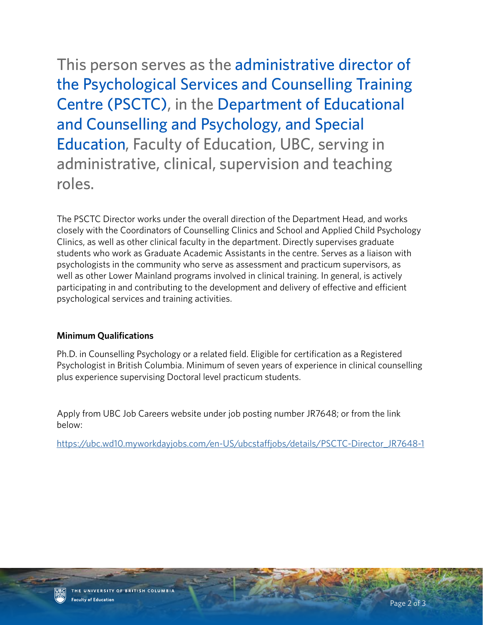This person serves as the administrative director of the Psychological Services and Counselling Training Centre (PSCTC), in the Department of Educational and Counselling and Psychology, and Special Education, Faculty of Education, UBC, serving in administrative, clinical, supervision and teaching roles.

The PSCTC Director works under the overall direction of the Department Head, and works closely with the Coordinators of Counselling Clinics and School and Applied Child Psychology Clinics, as well as other clinical faculty in the department. Directly supervises graduate students who work as Graduate Academic Assistants in the centre. Serves as a liaison with psychologists in the community who serve as assessment and practicum supervisors, as well as other Lower Mainland programs involved in clinical training. In general, is actively participating in and contributing to the development and delivery of effective and efficient psychological services and training activities.

## **Minimum Qualifications**

Ph.D. in Counselling Psychology or a related field. Eligible for certification as a Registered Psychologist in British Columbia. Minimum of seven years of experience in clinical counselling plus experience supervising Doctoral level practicum students.

Apply from UBC Job Careers website under job posting number JR7648; or from the link below:

[https://ubc.wd10.myworkdayjobs.com/en-US/ubcstaffjobs/details/PSCTC-Director\\_JR7648-1](https://ubc.wd10.myworkdayjobs.com/en-US/ubcstaffjobs/details/PSCTC-Director_JR7648-1 )